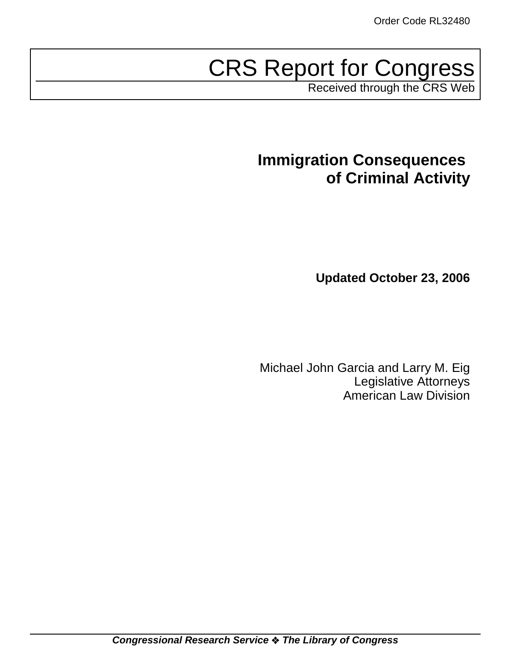# CRS Report for Congress

Received through the CRS Web

# **Immigration Consequences of Criminal Activity**

**Updated October 23, 2006**

Michael John Garcia and Larry M. Eig Legislative Attorneys American Law Division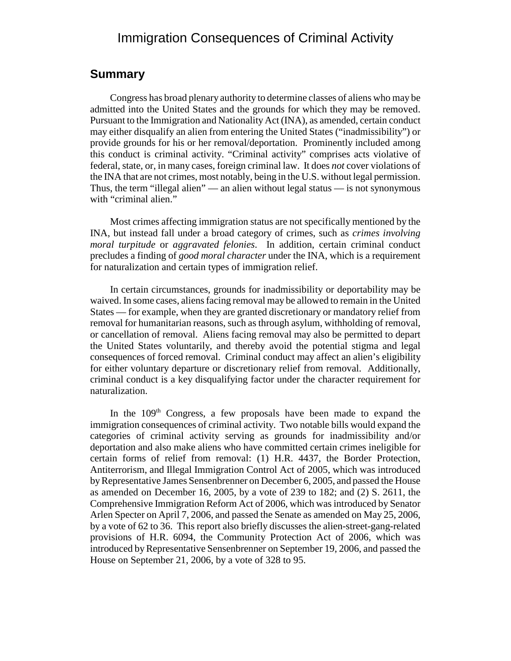### Immigration Consequences of Criminal Activity

#### **Summary**

Congress has broad plenary authority to determine classes of aliens who may be admitted into the United States and the grounds for which they may be removed. Pursuant to the Immigration and Nationality Act (INA), as amended, certain conduct may either disqualify an alien from entering the United States ("inadmissibility") or provide grounds for his or her removal/deportation. Prominently included among this conduct is criminal activity. "Criminal activity" comprises acts violative of federal, state, or, in many cases, foreign criminal law. It does *not* cover violations of the INA that are not crimes, most notably, being in the U.S. without legal permission. Thus, the term "illegal alien" — an alien without legal status — is not synonymous with "criminal alien."

Most crimes affecting immigration status are not specifically mentioned by the INA, but instead fall under a broad category of crimes, such as *crimes involving moral turpitude* or *aggravated felonies*. In addition, certain criminal conduct precludes a finding of *good moral character* under the INA, which is a requirement for naturalization and certain types of immigration relief.

In certain circumstances, grounds for inadmissibility or deportability may be waived. In some cases, aliens facing removal may be allowed to remain in the United States — for example, when they are granted discretionary or mandatory relief from removal for humanitarian reasons, such as through asylum, withholding of removal, or cancellation of removal. Aliens facing removal may also be permitted to depart the United States voluntarily, and thereby avoid the potential stigma and legal consequences of forced removal. Criminal conduct may affect an alien's eligibility for either voluntary departure or discretionary relief from removal. Additionally, criminal conduct is a key disqualifying factor under the character requirement for naturalization.

In the 109<sup>th</sup> Congress, a few proposals have been made to expand the immigration consequences of criminal activity. Two notable bills would expand the categories of criminal activity serving as grounds for inadmissibility and/or deportation and also make aliens who have committed certain crimes ineligible for certain forms of relief from removal: (1) H.R. 4437, the Border Protection, Antiterrorism, and Illegal Immigration Control Act of 2005, which was introduced by Representative James Sensenbrenner on December 6, 2005, and passed the House as amended on December 16, 2005, by a vote of 239 to 182; and (2) S. 2611, the Comprehensive Immigration Reform Act of 2006, which was introduced by Senator Arlen Specter on April 7, 2006, and passed the Senate as amended on May 25, 2006, by a vote of 62 to 36. This report also briefly discusses the alien-street-gang-related provisions of H.R. 6094, the Community Protection Act of 2006, which was introduced by Representative Sensenbrenner on September 19, 2006, and passed the House on September 21, 2006, by a vote of 328 to 95.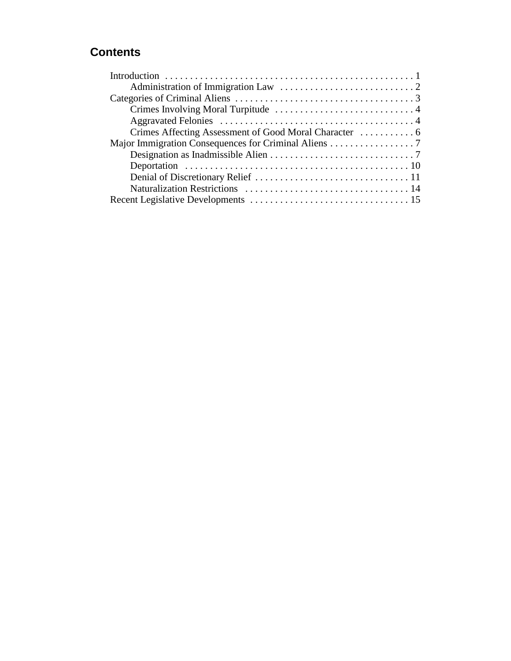### **Contents**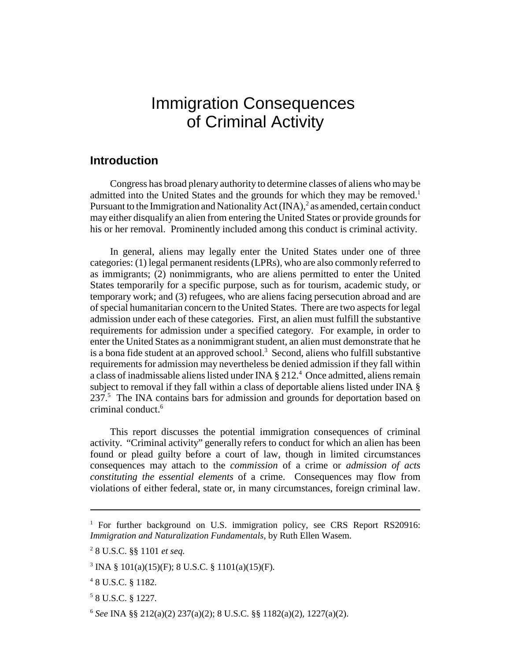## Immigration Consequences of Criminal Activity

#### **Introduction**

Congress has broad plenary authority to determine classes of aliens who may be admitted into the United States and the grounds for which they may be removed.<sup>1</sup> Pursuant to the Immigration and Nationality Act  $(INA)$ , as amended, certain conduct may either disqualify an alien from entering the United States or provide grounds for his or her removal. Prominently included among this conduct is criminal activity.

In general, aliens may legally enter the United States under one of three categories: (1) legal permanent residents (LPRs), who are also commonly referred to as immigrants; (2) nonimmigrants, who are aliens permitted to enter the United States temporarily for a specific purpose, such as for tourism, academic study, or temporary work; and (3) refugees, who are aliens facing persecution abroad and are of special humanitarian concern to the United States. There are two aspects for legal admission under each of these categories. First, an alien must fulfill the substantive requirements for admission under a specified category. For example, in order to enter the United States as a nonimmigrant student, an alien must demonstrate that he is a bona fide student at an approved school.<sup>3</sup> Second, aliens who fulfill substantive requirements for admission may nevertheless be denied admission if they fall within a class of inadmissable aliens listed under INA  $\S 212.^4$  Once admitted, aliens remain subject to removal if they fall within a class of deportable aliens listed under INA § 237.<sup>5</sup> The INA contains bars for admission and grounds for deportation based on criminal conduct.<sup>6</sup>

This report discusses the potential immigration consequences of criminal activity. "Criminal activity" generally refers to conduct for which an alien has been found or plead guilty before a court of law, though in limited circumstances consequences may attach to the *commission* of a crime or *admission of acts constituting the essential elements* of a crime. Consequences may flow from violations of either federal, state or, in many circumstances, foreign criminal law.

<sup>&</sup>lt;sup>1</sup> For further background on U.S. immigration policy, see CRS Report RS20916: *Immigration and Naturalization Fundamentals*, by Ruth Ellen Wasem.

<sup>2</sup> 8 U.S.C. §§ 1101 *et seq.*

<sup>&</sup>lt;sup>3</sup> INA § 101(a)(15)(F); 8 U.S.C. § 1101(a)(15)(F).

<sup>4</sup> 8 U.S.C. § 1182.

<sup>5</sup> 8 U.S.C. § 1227.

<sup>6</sup> *See* INA §§ 212(a)(2) 237(a)(2); 8 U.S.C. §§ 1182(a)(2), 1227(a)(2).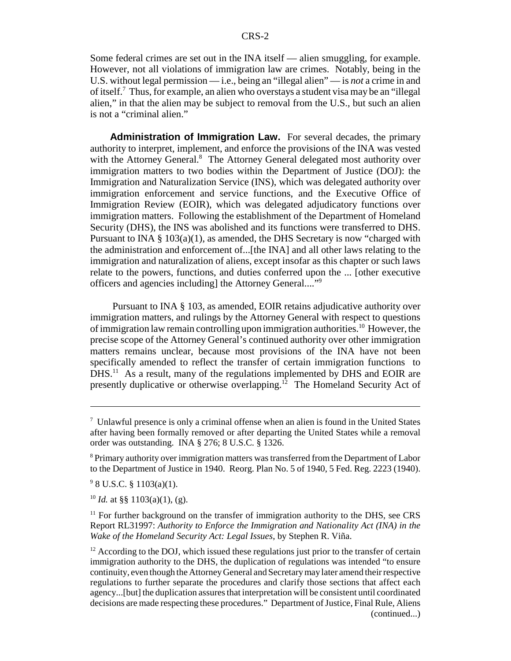Some federal crimes are set out in the INA itself — alien smuggling, for example. However, not all violations of immigration law are crimes. Notably, being in the U.S. without legal permission — i.e., being an "illegal alien" — is *not* a crime in and of itself.<sup>7</sup> Thus, for example, an alien who overstays a student visa may be an "illegal alien," in that the alien may be subject to removal from the U.S., but such an alien is not a "criminal alien."

**Administration of Immigration Law.** For several decades, the primary authority to interpret, implement, and enforce the provisions of the INA was vested with the Attorney General.<sup>8</sup> The Attorney General delegated most authority over immigration matters to two bodies within the Department of Justice (DOJ): the Immigration and Naturalization Service (INS), which was delegated authority over immigration enforcement and service functions, and the Executive Office of Immigration Review (EOIR), which was delegated adjudicatory functions over immigration matters. Following the establishment of the Department of Homeland Security (DHS), the INS was abolished and its functions were transferred to DHS. Pursuant to INA  $\S$  103(a)(1), as amended, the DHS Secretary is now "charged with the administration and enforcement of...[the INA] and all other laws relating to the immigration and naturalization of aliens, except insofar as this chapter or such laws relate to the powers, functions, and duties conferred upon the ... [other executive officers and agencies including] the Attorney General...."9

 Pursuant to INA § 103, as amended, EOIR retains adjudicative authority over immigration matters, and rulings by the Attorney General with respect to questions of immigration law remain controlling upon immigration authorities.10 However, the precise scope of the Attorney General's continued authority over other immigration matters remains unclear, because most provisions of the INA have not been specifically amended to reflect the transfer of certain immigration functions to DHS.<sup>11</sup> As a result, many of the regulations implemented by DHS and EOIR are presently duplicative or otherwise overlapping.<sup>12</sup> The Homeland Security Act of

 $10$  *Id.* at §§ 1103(a)(1), (g).

 $\frac{7}{1}$  Unlawful presence is only a criminal offense when an alien is found in the United States after having been formally removed or after departing the United States while a removal order was outstanding. INA § 276; 8 U.S.C. § 1326.

<sup>&</sup>lt;sup>8</sup> Primary authority over immigration matters was transferred from the Department of Labor to the Department of Justice in 1940. Reorg. Plan No. 5 of 1940, 5 Fed. Reg. 2223 (1940).

 $9$  8 U.S.C. § 1103(a)(1).

 $11$  For further background on the transfer of immigration authority to the DHS, see CRS Report RL31997: *Authority to Enforce the Immigration and Nationality Act (INA) in the Wake of the Homeland Security Act: Legal Issues*, by Stephen R. Viña.

 $12$  According to the DOJ, which issued these regulations just prior to the transfer of certain immigration authority to the DHS, the duplication of regulations was intended "to ensure continuity, even though the Attorney General and Secretary may later amend their respective regulations to further separate the procedures and clarify those sections that affect each agency...[but] the duplication assures that interpretation will be consistent until coordinated decisions are made respecting these procedures." Department of Justice, Final Rule, Aliens (continued...)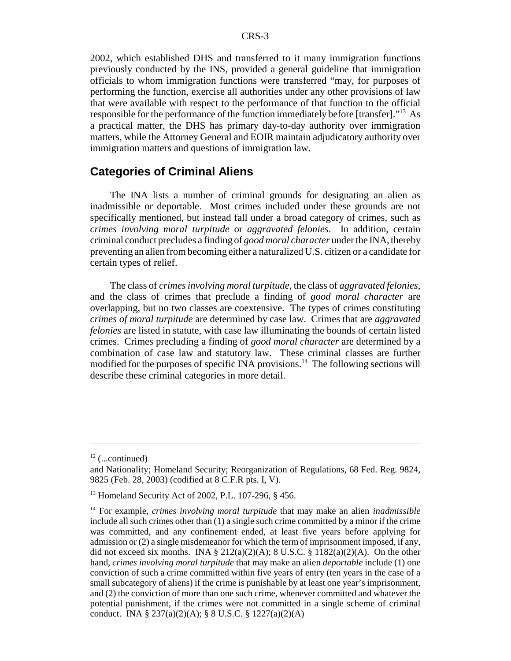2002, which established DHS and transferred to it many immigration functions previously conducted by the INS, provided a general guideline that immigration officials to whom immigration functions were transferred "may, for purposes of performing the function, exercise all authorities under any other provisions of law that were available with respect to the performance of that function to the official responsible for the performance of the function immediately before [transfer]."13 As a practical matter, the DHS has primary day-to-day authority over immigration matters, while the Attorney General and EOIR maintain adjudicatory authority over immigration matters and questions of immigration law.

#### **Categories of Criminal Aliens**

The INA lists a number of criminal grounds for designating an alien as inadmissible or deportable. Most crimes included under these grounds are not specifically mentioned, but instead fall under a broad category of crimes, such as *crimes involving moral turpitude* or *aggravated felonies*. In addition, certain criminal conduct precludes a finding of *good moral character* under the INA, thereby preventing an alien from becoming either a naturalized U.S. citizen or a candidate for certain types of relief.

The class of *crimes involving moral turpitude*, the class of *aggravated felonies*, and the class of crimes that preclude a finding of *good moral character* are overlapping, but no two classes are coextensive. The types of crimes constituting *crimes of moral turpitude* are determined by case law. Crimes that are *aggravated felonies* are listed in statute, with case law illuminating the bounds of certain listed crimes. Crimes precluding a finding of *good moral character* are determined by a combination of case law and statutory law. These criminal classes are further modified for the purposes of specific INA provisions.<sup>14</sup> The following sections will describe these criminal categories in more detail.

 $12$  (...continued)

and Nationality; Homeland Security; Reorganization of Regulations, 68 Fed. Reg. 9824, 9825 (Feb. 28, 2003) (codified at 8 C.F.R pts. I, V).

<sup>13</sup> Homeland Security Act of 2002, P.L. 107-296, § 456.

<sup>14</sup> For example, *crimes involving moral turpitude* that may make an alien *inadmissible* include all such crimes other than (1) a single such crime committed by a minor if the crime was committed, and any confinement ended, at least five years before applying for admission or (2) a single misdemeanor for which the term of imprisonment imposed, if any, did not exceed six months. INA § 212(a)(2)(A); 8 U.S.C. § 1182(a)(2)(A). On the other hand, *crimes involving moral turpitude* that may make an alien *deportable* include (1) one conviction of such a crime committed within five years of entry (ten years in the case of a small subcategory of aliens) if the crime is punishable by at least one year's imprisonment, and (2) the conviction of more than one such crime, whenever committed and whatever the potential punishment, if the crimes were not committed in a single scheme of criminal conduct. INA § 237(a)(2)(A); § 8 U.S.C. § 1227(a)(2)(A)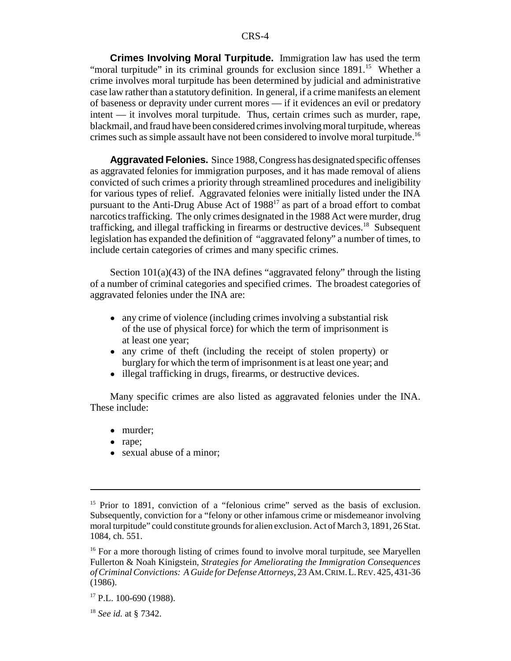**Crimes Involving Moral Turpitude.** Immigration law has used the term "moral turpitude" in its criminal grounds for exclusion since 1891.<sup>15</sup> Whether a crime involves moral turpitude has been determined by judicial and administrative case law rather than a statutory definition. In general, if a crime manifests an element of baseness or depravity under current mores — if it evidences an evil or predatory intent — it involves moral turpitude. Thus, certain crimes such as murder, rape, blackmail, and fraud have been considered crimes involving moral turpitude, whereas crimes such as simple assault have not been considered to involve moral turpitude.16

**Aggravated Felonies.** Since 1988, Congress has designated specific offenses as aggravated felonies for immigration purposes, and it has made removal of aliens convicted of such crimes a priority through streamlined procedures and ineligibility for various types of relief. Aggravated felonies were initially listed under the INA pursuant to the Anti-Drug Abuse Act of 198817 as part of a broad effort to combat narcotics trafficking. The only crimes designated in the 1988 Act were murder, drug trafficking, and illegal trafficking in firearms or destructive devices.<sup>18</sup> Subsequent legislation has expanded the definition of "aggravated felony" a number of times, to include certain categories of crimes and many specific crimes.

Section 101(a)(43) of the INA defines "aggravated felony" through the listing of a number of criminal categories and specified crimes. The broadest categories of aggravated felonies under the INA are:

- any crime of violence (including crimes involving a substantial risk of the use of physical force) for which the term of imprisonment is at least one year;
- any crime of theft (including the receipt of stolen property) or burglary for which the term of imprisonment is at least one year; and
- illegal trafficking in drugs, firearms, or destructive devices.

Many specific crimes are also listed as aggravated felonies under the INA. These include:

- murder;
- rape;
- sexual abuse of a minor;

<sup>&</sup>lt;sup>15</sup> Prior to 1891, conviction of a "felonious crime" served as the basis of exclusion. Subsequently, conviction for a "felony or other infamous crime or misdemeanor involving moral turpitude" could constitute grounds for alien exclusion. Act of March 3, 1891, 26 Stat. 1084, ch. 551.

<sup>&</sup>lt;sup>16</sup> For a more thorough listing of crimes found to involve moral turpitude, see Maryellen Fullerton & Noah Kinigstein, *Strategies for Ameliorating the Immigration Consequences of Criminal Convictions: A Guide for Defense Attorneys*, 23 AM.CRIM.L.REV. 425, 431-36 (1986).

 $17$  P.L. 100-690 (1988).

<sup>18</sup> *See id.* at § 7342.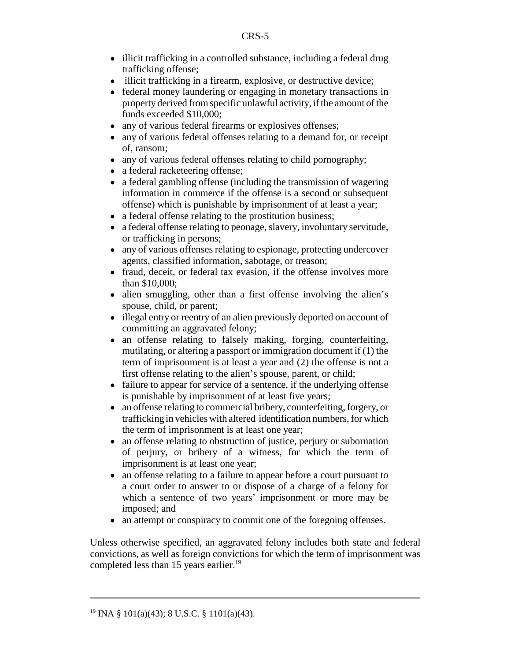- illicit trafficking in a controlled substance, including a federal drug trafficking offense;
- illicit trafficking in a firearm, explosive, or destructive device;
- ! federal money laundering or engaging in monetary transactions in property derived from specific unlawful activity, if the amount of the funds exceeded \$10,000;
- any of various federal firearms or explosives offenses;
- any of various federal offenses relating to a demand for, or receipt of, ransom;
- any of various federal offenses relating to child pornography;
- a federal racketeering offense;
- a federal gambling offense (including the transmission of wagering information in commerce if the offense is a second or subsequent offense) which is punishable by imprisonment of at least a year;
- a federal offense relating to the prostitution business;
- ! a federal offense relating to peonage, slavery, involuntary servitude, or trafficking in persons;
- ! any of various offenses relating to espionage, protecting undercover agents, classified information, sabotage, or treason;
- fraud, deceit, or federal tax evasion, if the offense involves more than \$10,000;
- alien smuggling, other than a first offense involving the alien's spouse, child, or parent;
- illegal entry or reentry of an alien previously deported on account of committing an aggravated felony;
- an offense relating to falsely making, forging, counterfeiting, mutilating, or altering a passport or immigration document if (1) the term of imprisonment is at least a year and (2) the offense is not a first offense relating to the alien's spouse, parent, or child;
- failure to appear for service of a sentence, if the underlying offense is punishable by imprisonment of at least five years;
- an offense relating to commercial bribery, counterfeiting, forgery, or trafficking in vehicles with altered identification numbers, for which the term of imprisonment is at least one year;
- an offense relating to obstruction of justice, perjury or subornation of perjury, or bribery of a witness, for which the term of imprisonment is at least one year;
- an offense relating to a failure to appear before a court pursuant to a court order to answer to or dispose of a charge of a felony for which a sentence of two years' imprisonment or more may be imposed; and
- an attempt or conspiracy to commit one of the foregoing offenses.

Unless otherwise specified, an aggravated felony includes both state and federal convictions, as well as foreign convictions for which the term of imprisonment was completed less than 15 years earlier.<sup>19</sup>

<sup>&</sup>lt;sup>19</sup> INA § 101(a)(43); 8 U.S.C. § 1101(a)(43).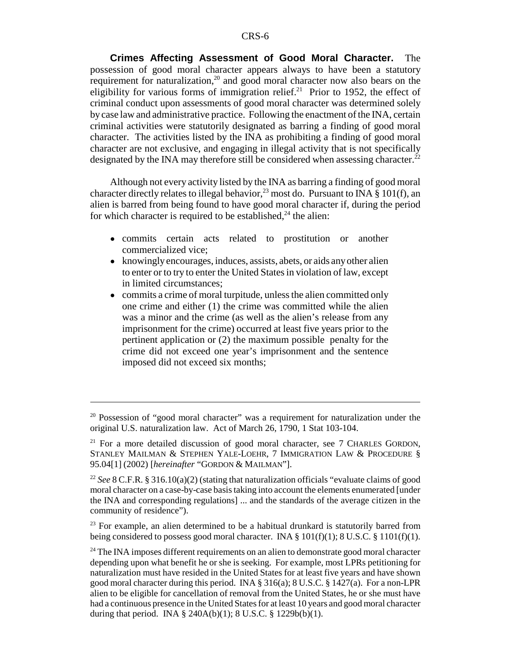**Crimes Affecting Assessment of Good Moral Character.** The possession of good moral character appears always to have been a statutory requirement for naturalization,<sup>20</sup> and good moral character now also bears on the eligibility for various forms of immigration relief.<sup>21</sup> Prior to 1952, the effect of criminal conduct upon assessments of good moral character was determined solely by case law and administrative practice. Following the enactment of the INA, certain criminal activities were statutorily designated as barring a finding of good moral character. The activities listed by the INA as prohibiting a finding of good moral character are not exclusive, and engaging in illegal activity that is not specifically designated by the INA may therefore still be considered when assessing character.<sup>22</sup>

Although not every activity listed by the INA as barring a finding of good moral character directly relates to illegal behavior,<sup>23</sup> most do. Pursuant to INA  $\S$  101(f), an alien is barred from being found to have good moral character if, during the period for which character is required to be established,  $24$  the alien:

- ! commits certain acts related to prostitution or another commercialized vice;
- knowingly encourages, induces, assists, abets, or aids any other alien to enter or to try to enter the United States in violation of law, except in limited circumstances;
- commits a crime of moral turpitude, unless the alien committed only one crime and either (1) the crime was committed while the alien was a minor and the crime (as well as the alien's release from any imprisonment for the crime) occurred at least five years prior to the pertinent application or (2) the maximum possible penalty for the crime did not exceed one year's imprisonment and the sentence imposed did not exceed six months;

<sup>&</sup>lt;sup>20</sup> Possession of "good moral character" was a requirement for naturalization under the original U.S. naturalization law. Act of March 26, 1790, 1 Stat 103-104.

 $21$  For a more detailed discussion of good moral character, see 7 CHARLES GORDON, STANLEY MAILMAN & STEPHEN YALE-LOEHR, 7 IMMIGRATION LAW & PROCEDURE § 95.04[1] (2002) [*hereinafter* "GORDON & MAILMAN"].

<sup>22</sup> *See* 8 C.F.R. § 316.10(a)(2) (stating that naturalization officials "evaluate claims of good moral character on a case-by-case basis taking into account the elements enumerated [under the INA and corresponding regulations] ... and the standards of the average citizen in the community of residence").

 $23$  For example, an alien determined to be a habitual drunkard is statutorily barred from being considered to possess good moral character. INA § 101(f)(1); 8 U.S.C. § 1101(f)(1).

 $24$  The INA imposes different requirements on an alien to demonstrate good moral character depending upon what benefit he or she is seeking. For example, most LPRs petitioning for naturalization must have resided in the United States for at least five years and have shown good moral character during this period. INA § 316(a); 8 U.S.C. § 1427(a). For a non-LPR alien to be eligible for cancellation of removal from the United States, he or she must have had a continuous presence in the United States for at least 10 years and good moral character during that period. INA § 240A(b)(1); 8 U.S.C. § 1229b(b)(1).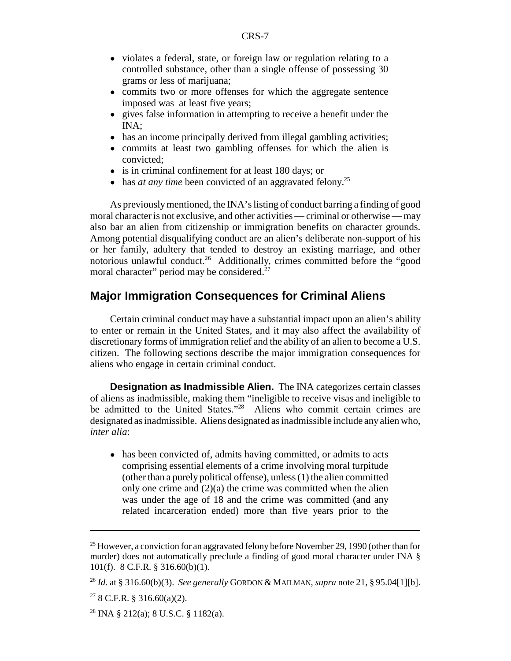- violates a federal, state, or foreign law or regulation relating to a controlled substance, other than a single offense of possessing 30 grams or less of marijuana;
- commits two or more offenses for which the aggregate sentence imposed was at least five years;
- gives false information in attempting to receive a benefit under the INA;
- has an income principally derived from illegal gambling activities;
- commits at least two gambling offenses for which the alien is convicted;
- is in criminal confinement for at least 180 days; or
- has *at any time* been convicted of an aggravated felony.<sup>25</sup>

As previously mentioned, the INA's listing of conduct barring a finding of good moral character is not exclusive, and other activities — criminal or otherwise — may also bar an alien from citizenship or immigration benefits on character grounds. Among potential disqualifying conduct are an alien's deliberate non-support of his or her family, adultery that tended to destroy an existing marriage, and other notorious unlawful conduct.<sup>26</sup> Additionally, crimes committed before the "good moral character" period may be considered.<sup>2</sup>

#### **Major Immigration Consequences for Criminal Aliens**

Certain criminal conduct may have a substantial impact upon an alien's ability to enter or remain in the United States, and it may also affect the availability of discretionary forms of immigration relief and the ability of an alien to become a U.S. citizen. The following sections describe the major immigration consequences for aliens who engage in certain criminal conduct.

**Designation as Inadmissible Alien.** The INA categorizes certain classes of aliens as inadmissible, making them "ineligible to receive visas and ineligible to be admitted to the United States."<sup>28</sup> Aliens who commit certain crimes are designated as inadmissible. Aliens designated as inadmissible include any alien who, *inter alia*:

• has been convicted of, admits having committed, or admits to acts comprising essential elements of a crime involving moral turpitude (other than a purely political offense), unless (1) the alien committed only one crime and  $(2)(a)$  the crime was committed when the alien was under the age of 18 and the crime was committed (and any related incarceration ended) more than five years prior to the

<sup>&</sup>lt;sup>25</sup> However, a conviction for an aggravated felony before November 29, 1990 (other than for murder) does not automatically preclude a finding of good moral character under INA § 101(f). 8 C.F.R. § 316.60(b)(1).

<sup>26</sup> *Id.* at § 316.60(b)(3). *See generally* GORDON & MAILMAN, *supra* note 21, § 95.04[1][b].

 $278$  C.F.R. § 316.60(a)(2).

<sup>&</sup>lt;sup>28</sup> INA § 212(a); 8 U.S.C. § 1182(a).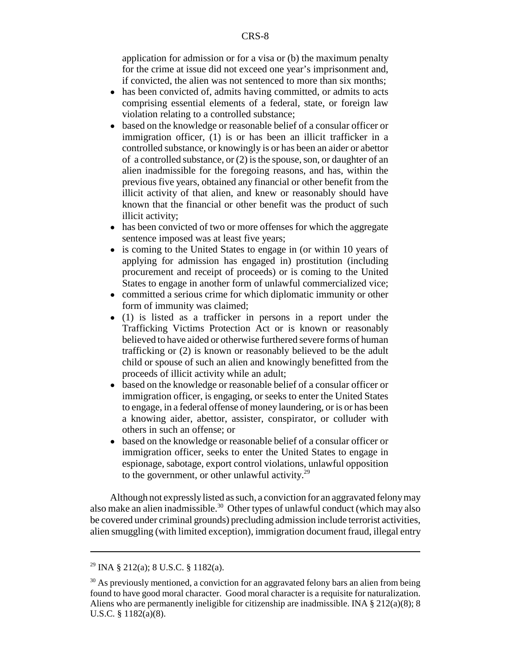application for admission or for a visa or (b) the maximum penalty for the crime at issue did not exceed one year's imprisonment and, if convicted, the alien was not sentenced to more than six months;

- has been convicted of, admits having committed, or admits to acts comprising essential elements of a federal, state, or foreign law violation relating to a controlled substance;
- based on the knowledge or reasonable belief of a consular officer or immigration officer, (1) is or has been an illicit trafficker in a controlled substance, or knowingly is or has been an aider or abettor of a controlled substance, or (2) is the spouse, son, or daughter of an alien inadmissible for the foregoing reasons, and has, within the previous five years, obtained any financial or other benefit from the illicit activity of that alien, and knew or reasonably should have known that the financial or other benefit was the product of such illicit activity;
- has been convicted of two or more offenses for which the aggregate sentence imposed was at least five years;
- is coming to the United States to engage in (or within 10 years of applying for admission has engaged in) prostitution (including procurement and receipt of proceeds) or is coming to the United States to engage in another form of unlawful commercialized vice;
- ! committed a serious crime for which diplomatic immunity or other form of immunity was claimed;
- ! (1) is listed as a trafficker in persons in a report under the Trafficking Victims Protection Act or is known or reasonably believed to have aided or otherwise furthered severe forms of human trafficking or (2) is known or reasonably believed to be the adult child or spouse of such an alien and knowingly benefitted from the proceeds of illicit activity while an adult;
- based on the knowledge or reasonable belief of a consular officer or immigration officer, is engaging, or seeks to enter the United States to engage, in a federal offense of money laundering, or is or has been a knowing aider, abettor, assister, conspirator, or colluder with others in such an offense; or
- based on the knowledge or reasonable belief of a consular officer or immigration officer, seeks to enter the United States to engage in espionage, sabotage, export control violations, unlawful opposition to the government, or other unlawful activity. $29$

Although not expressly listed as such, a conviction for an aggravated felony may also make an alien inadmissible.<sup>30</sup> Other types of unlawful conduct (which may also be covered under criminal grounds) precluding admission include terrorist activities, alien smuggling (with limited exception), immigration document fraud, illegal entry

<sup>&</sup>lt;sup>29</sup> INA § 212(a); 8 U.S.C. § 1182(a).

<sup>&</sup>lt;sup>30</sup> As previously mentioned, a conviction for an aggravated felony bars an alien from being found to have good moral character. Good moral character is a requisite for naturalization. Aliens who are permanently ineligible for citizenship are inadmissible. INA  $\S 212(a)(8)$ ; 8 U.S.C. § 1182(a)(8).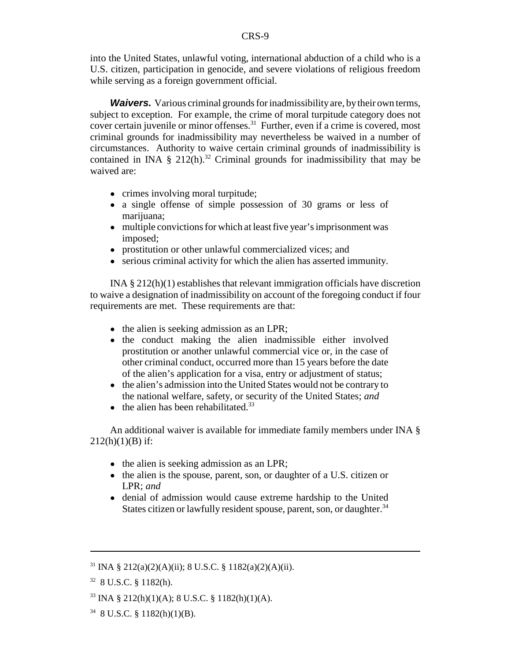into the United States, unlawful voting, international abduction of a child who is a U.S. citizen, participation in genocide, and severe violations of religious freedom while serving as a foreign government official.

*Waivers.* Various criminal grounds for inadmissibility are, by their own terms, subject to exception. For example, the crime of moral turpitude category does not cover certain juvenile or minor offenses.<sup>31</sup> Further, even if a crime is covered, most criminal grounds for inadmissibility may nevertheless be waived in a number of circumstances. Authority to waive certain criminal grounds of inadmissibility is contained in INA § 212(h).<sup>32</sup> Criminal grounds for inadmissibility that may be waived are:

- crimes involving moral turpitude;
- a single offense of simple possession of 30 grams or less of marijuana;
- multiple convictions for which at least five year's imprisonment was imposed;
- prostitution or other unlawful commercialized vices; and
- serious criminal activity for which the alien has asserted immunity.

INA § 212(h)(1) establishes that relevant immigration officials have discretion to waive a designation of inadmissibility on account of the foregoing conduct if four requirements are met. These requirements are that:

- the alien is seeking admission as an LPR;
- the conduct making the alien inadmissible either involved prostitution or another unlawful commercial vice or, in the case of other criminal conduct, occurred more than 15 years before the date of the alien's application for a visa, entry or adjustment of status;
- the alien's admission into the United States would not be contrary to the national welfare, safety, or security of the United States; *and*
- $\bullet$  the alien has been rehabilitated.<sup>33</sup>

An additional waiver is available for immediate family members under INA §  $212(h)(1)(B)$  if:

- the alien is seeking admission as an LPR;
- the alien is the spouse, parent, son, or daughter of a U.S. citizen or LPR; *and*
- denial of admission would cause extreme hardship to the United States citizen or lawfully resident spouse, parent, son, or daughter.<sup>34</sup>

 $31$  INA § 212(a)(2)(A)(ii); 8 U.S.C. § 1182(a)(2)(A)(ii).

<sup>32 8</sup> U.S.C. § 1182(h).

 $33$  INA § 212(h)(1)(A); 8 U.S.C. § 1182(h)(1)(A).

 $34$  8 U.S.C. § 1182(h)(1)(B).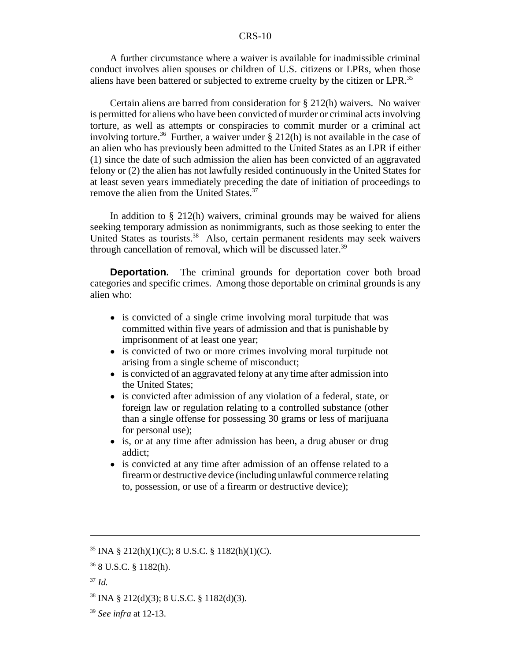A further circumstance where a waiver is available for inadmissible criminal conduct involves alien spouses or children of U.S. citizens or LPRs, when those aliens have been battered or subjected to extreme cruelty by the citizen or LPR.<sup>35</sup>

Certain aliens are barred from consideration for § 212(h) waivers. No waiver is permitted for aliens who have been convicted of murder or criminal acts involving torture, as well as attempts or conspiracies to commit murder or a criminal act involving torture.<sup>36</sup> Further, a waiver under § 212(h) is not available in the case of an alien who has previously been admitted to the United States as an LPR if either (1) since the date of such admission the alien has been convicted of an aggravated felony or (2) the alien has not lawfully resided continuously in the United States for at least seven years immediately preceding the date of initiation of proceedings to remove the alien from the United States.<sup>37</sup>

In addition to § 212(h) waivers, criminal grounds may be waived for aliens seeking temporary admission as nonimmigrants, such as those seeking to enter the United States as tourists.<sup>38</sup> Also, certain permanent residents may seek waivers through cancellation of removal, which will be discussed later. $39$ 

**Deportation.** The criminal grounds for deportation cover both broad categories and specific crimes. Among those deportable on criminal grounds is any alien who:

- is convicted of a single crime involving moral turpitude that was committed within five years of admission and that is punishable by imprisonment of at least one year;
- is convicted of two or more crimes involving moral turpitude not arising from a single scheme of misconduct;
- is convicted of an aggravated felony at any time after admission into the United States;
- is convicted after admission of any violation of a federal, state, or foreign law or regulation relating to a controlled substance (other than a single offense for possessing 30 grams or less of marijuana for personal use);
- is, or at any time after admission has been, a drug abuser or drug addict;
- is convicted at any time after admission of an offense related to a firearm or destructive device (including unlawful commerce relating to, possession, or use of a firearm or destructive device);

 $35$  INA § 212(h)(1)(C); 8 U.S.C. § 1182(h)(1)(C).

<sup>36 8</sup> U.S.C. § 1182(h).

<sup>37</sup> *Id.*

 $38$  INA § 212(d)(3); 8 U.S.C. § 1182(d)(3).

<sup>39</sup> *See infra* at 12-13.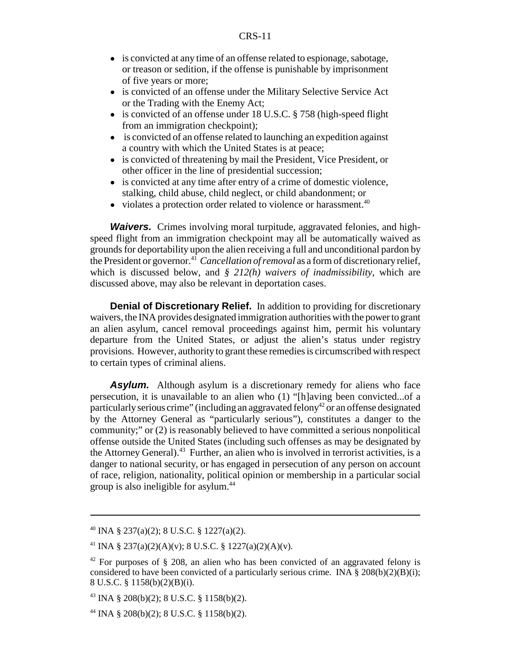- is convicted at any time of an offense related to espionage, sabotage, or treason or sedition, if the offense is punishable by imprisonment of five years or more;
- ! is convicted of an offense under the Military Selective Service Act or the Trading with the Enemy Act;
- is convicted of an offense under 18 U.S.C. § 758 (high-speed flight) from an immigration checkpoint);
- is convicted of an offense related to launching an expedition against a country with which the United States is at peace;
- is convicted of threatening by mail the President, Vice President, or other officer in the line of presidential succession;
- is convicted at any time after entry of a crime of domestic violence, stalking, child abuse, child neglect, or child abandonment; or
- $\bullet$  violates a protection order related to violence or harassment.<sup>40</sup>

*Waivers.* Crimes involving moral turpitude, aggravated felonies, and highspeed flight from an immigration checkpoint may all be automatically waived as grounds for deportability upon the alien receiving a full and unconditional pardon by the President or governor.41 *Cancellation of removal* as a form of discretionary relief, which is discussed below, and *§ 212(h) waivers of inadmissibility*, which are discussed above, may also be relevant in deportation cases.

**Denial of Discretionary Relief.** In addition to providing for discretionary waivers, the INA provides designated immigration authorities with the power to grant an alien asylum, cancel removal proceedings against him, permit his voluntary departure from the United States, or adjust the alien's status under registry provisions. However, authority to grant these remedies is circumscribed with respect to certain types of criminal aliens.

**Asylum.** Although asylum is a discretionary remedy for aliens who face persecution, it is unavailable to an alien who (1) "[h]aving been convicted...of a particularly serious crime" (including an aggravated felony<sup>42</sup> or an offense designated by the Attorney General as "particularly serious"), constitutes a danger to the community;" or (2) is reasonably believed to have committed a serious nonpolitical offense outside the United States (including such offenses as may be designated by the Attorney General).<sup>43</sup> Further, an alien who is involved in terrorist activities, is a danger to national security, or has engaged in persecution of any person on account of race, religion, nationality, political opinion or membership in a particular social group is also ineligible for asylum.<sup>44</sup>

 $^{40}$  INA § 237(a)(2); 8 U.S.C. § 1227(a)(2).

<sup>&</sup>lt;sup>41</sup> INA § 237(a)(2)(A)(v); 8 U.S.C. § 1227(a)(2)(A)(v).

 $42$  For purposes of § 208, an alien who has been convicted of an aggravated felony is considered to have been convicted of a particularly serious crime. INA  $\S 208(b)(2)(B)(i)$ ; 8 U.S.C. § 1158(b)(2)(B)(i).

 $^{43}$  INA § 208(b)(2); 8 U.S.C. § 1158(b)(2).

<sup>&</sup>lt;sup>44</sup> INA § 208(b)(2); 8 U.S.C. § 1158(b)(2).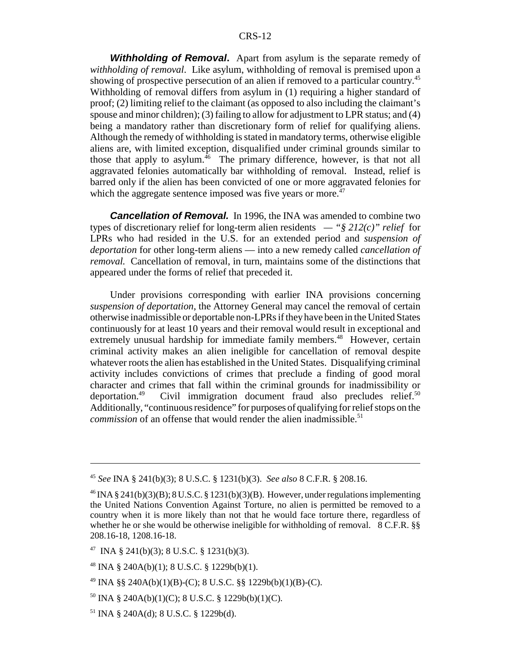*Withholding of Removal***.** Apart from asylum is the separate remedy of *withholding of removal*. Like asylum, withholding of removal is premised upon a showing of prospective persecution of an alien if removed to a particular country.<sup>45</sup> Withholding of removal differs from asylum in (1) requiring a higher standard of proof; (2) limiting relief to the claimant (as opposed to also including the claimant's spouse and minor children); (3) failing to allow for adjustment to LPR status; and (4) being a mandatory rather than discretionary form of relief for qualifying aliens. Although the remedy of withholding is stated in mandatory terms, otherwise eligible aliens are, with limited exception, disqualified under criminal grounds similar to those that apply to asylum.<sup>46</sup> The primary difference, however, is that not all aggravated felonies automatically bar withholding of removal. Instead, relief is barred only if the alien has been convicted of one or more aggravated felonies for which the aggregate sentence imposed was five years or more.<sup> $47$ </sup>

**Cancellation of Removal.** In 1996, the INA was amended to combine two types of discretionary relief for long-term alien residents *— "§ 212(c)" relief* for LPRs who had resided in the U.S. for an extended period and *suspension of deportation* for other long-term aliens — into a new remedy called *cancellation of removal.* Cancellation of removal, in turn, maintains some of the distinctions that appeared under the forms of relief that preceded it.

Under provisions corresponding with earlier INA provisions concerning *suspension of deportation*, the Attorney General may cancel the removal of certain otherwise inadmissible or deportable non-LPRs if they have been in the United States continuously for at least 10 years and their removal would result in exceptional and extremely unusual hardship for immediate family members.<sup>48</sup> However, certain criminal activity makes an alien ineligible for cancellation of removal despite whatever roots the alien has established in the United States. Disqualifying criminal activity includes convictions of crimes that preclude a finding of good moral character and crimes that fall within the criminal grounds for inadmissibility or deportation.<sup>49</sup> Civil immigration document fraud also precludes relief.<sup>50</sup> Civil immigration document fraud also precludes relief. $50$ Additionally, "continuous residence" for purposes of qualifying for relief stops on the *commission* of an offense that would render the alien inadmissible.<sup>51</sup>

<sup>45</sup> *See* INA § 241(b)(3); 8 U.S.C. § 1231(b)(3). *See also* 8 C.F.R. § 208.16.

 $^{46}$  INA § 241(b)(3)(B); 8 U.S.C. § 1231(b)(3)(B). However, under regulations implementing the United Nations Convention Against Torture, no alien is permitted be removed to a country when it is more likely than not that he would face torture there, regardless of whether he or she would be otherwise ineligible for withholding of removal. 8 C.F.R. §§ 208.16-18, 1208.16-18.

<sup>&</sup>lt;sup>47</sup> INA § 241(b)(3); 8 U.S.C. § 1231(b)(3).

 $^{48}$  INA § 240A(b)(1); 8 U.S.C. § 1229b(b)(1).

<sup>&</sup>lt;sup>49</sup> INA §§ 240A(b)(1)(B)-(C); 8 U.S.C. §§ 1229b(b)(1)(B)-(C).

 $50$  INA § 240A(b)(1)(C); 8 U.S.C. § 1229b(b)(1)(C).

 $51$  INA § 240A(d); 8 U.S.C. § 1229b(d).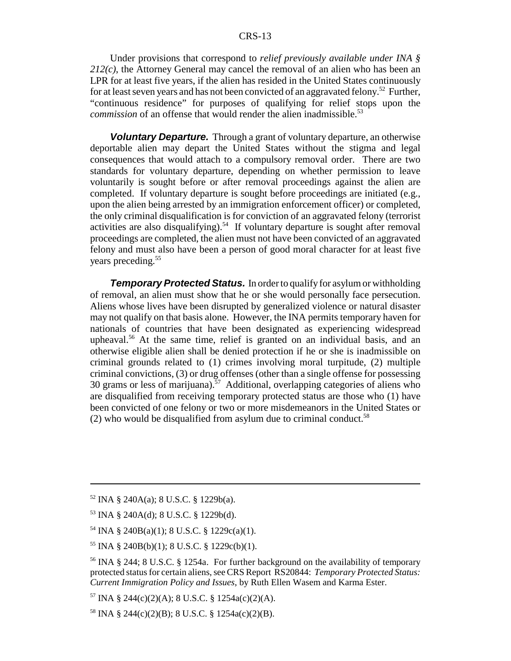Under provisions that correspond to *relief previously available under INA § 212(c)*, the Attorney General may cancel the removal of an alien who has been an LPR for at least five years, if the alien has resided in the United States continuously for at least seven years and has not been convicted of an aggravated felony.<sup>52</sup> Further, "continuous residence" for purposes of qualifying for relief stops upon the *commission* of an offense that would render the alien inadmissible.<sup>53</sup>

*Voluntary Departure.* Through a grant of voluntary departure, an otherwise deportable alien may depart the United States without the stigma and legal consequences that would attach to a compulsory removal order. There are two standards for voluntary departure, depending on whether permission to leave voluntarily is sought before or after removal proceedings against the alien are completed. If voluntary departure is sought before proceedings are initiated (e.g., upon the alien being arrested by an immigration enforcement officer) or completed, the only criminal disqualification is for conviction of an aggravated felony (terrorist activities are also disqualifying).<sup>54</sup> If voluntary departure is sought after removal proceedings are completed, the alien must not have been convicted of an aggravated felony and must also have been a person of good moral character for at least five years preceding.<sup>55</sup>

*Temporary Protected Status.* In order to qualify for asylum or withholding of removal, an alien must show that he or she would personally face persecution. Aliens whose lives have been disrupted by generalized violence or natural disaster may not qualify on that basis alone. However, the INA permits temporary haven for nationals of countries that have been designated as experiencing widespread upheaval.56 At the same time, relief is granted on an individual basis, and an otherwise eligible alien shall be denied protection if he or she is inadmissible on criminal grounds related to (1) crimes involving moral turpitude, (2) multiple criminal convictions, (3) or drug offenses (other than a single offense for possessing 30 grams or less of marijuana).<sup>57</sup> Additional, overlapping categories of aliens who are disqualified from receiving temporary protected status are those who (1) have been convicted of one felony or two or more misdemeanors in the United States or (2) who would be disqualified from asylum due to criminal conduct.<sup>58</sup>

 $52$  INA § 240A(a); 8 U.S.C. § 1229b(a).

<sup>53</sup> INA § 240A(d); 8 U.S.C. § 1229b(d).

<sup>54</sup> INA § 240B(a)(1); 8 U.S.C. § 1229c(a)(1).

 $55$  INA § 240B(b)(1); 8 U.S.C. § 1229c(b)(1).

<sup>&</sup>lt;sup>56</sup> INA § 244; 8 U.S.C. § 1254a. For further background on the availability of temporary protected status for certain aliens, see CRS Report RS20844: *Temporary Protected Status: Current Immigration Policy and Issues*, by Ruth Ellen Wasem and Karma Ester.

 $57 \text{INA }$  § 244(c)(2)(A); 8 U.S.C. § 1254a(c)(2)(A).

<sup>&</sup>lt;sup>58</sup> INA § 244(c)(2)(B); 8 U.S.C. § 1254a(c)(2)(B).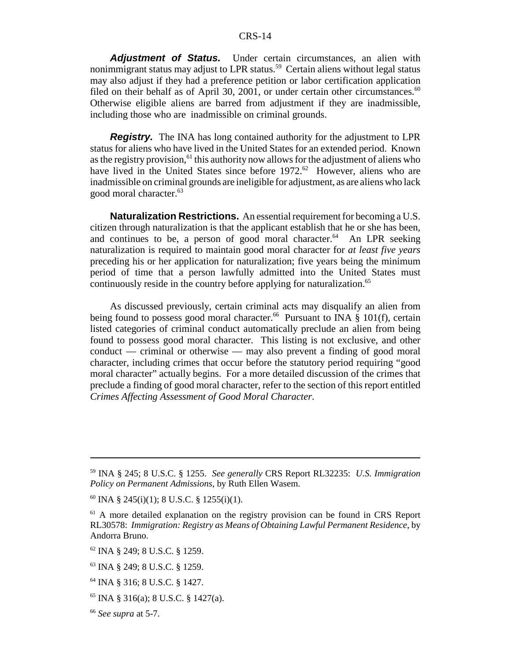Adjustment of Status. Under certain circumstances, an alien with nonimmigrant status may adjust to LPR status.<sup>59</sup> Certain aliens without legal status may also adjust if they had a preference petition or labor certification application filed on their behalf as of April 30, 2001, or under certain other circumstances. $60$ Otherwise eligible aliens are barred from adjustment if they are inadmissible, including those who are inadmissible on criminal grounds.

**Registry.** The INA has long contained authority for the adjustment to LPR status for aliens who have lived in the United States for an extended period. Known as the registry provision,<sup>61</sup> this authority now allows for the adjustment of aliens who have lived in the United States since before 1972.<sup>62</sup> However, aliens who are inadmissible on criminal grounds are ineligible for adjustment, as are aliens who lack good moral character.<sup>63</sup>

**Naturalization Restrictions.** An essential requirement for becoming a U.S. citizen through naturalization is that the applicant establish that he or she has been, and continues to be, a person of good moral character.<sup>64</sup> An LPR seeking naturalization is required to maintain good moral character for *at least five years* preceding his or her application for naturalization; five years being the minimum period of time that a person lawfully admitted into the United States must continuously reside in the country before applying for naturalization.<sup>65</sup>

As discussed previously, certain criminal acts may disqualify an alien from being found to possess good moral character.<sup>66</sup> Pursuant to INA  $\frac{8}{9}$  101(f), certain listed categories of criminal conduct automatically preclude an alien from being found to possess good moral character. This listing is not exclusive, and other conduct — criminal or otherwise — may also prevent a finding of good moral character, including crimes that occur before the statutory period requiring "good moral character" actually begins. For a more detailed discussion of the crimes that preclude a finding of good moral character, refer to the section of this report entitled *Crimes Affecting Assessment of Good Moral Character*.

<sup>59</sup> INA § 245; 8 U.S.C. § 1255. *See generally* CRS Report RL32235: *U.S. Immigration Policy on Permanent Admissions*, by Ruth Ellen Wasem.

 $60$  INA § 245(i)(1); 8 U.S.C. § 1255(i)(1).

 $61$  A more detailed explanation on the registry provision can be found in CRS Report RL30578: *Immigration: Registry as Means of Obtaining Lawful Permanent Residence*, by Andorra Bruno.

<sup>62</sup> INA § 249; 8 U.S.C. § 1259.

<sup>63</sup> INA § 249; 8 U.S.C. § 1259.

<sup>64</sup> INA § 316; 8 U.S.C. § 1427.

 $65$  INA § 316(a); 8 U.S.C. § 1427(a).

<sup>66</sup> *See supra* at 5-7.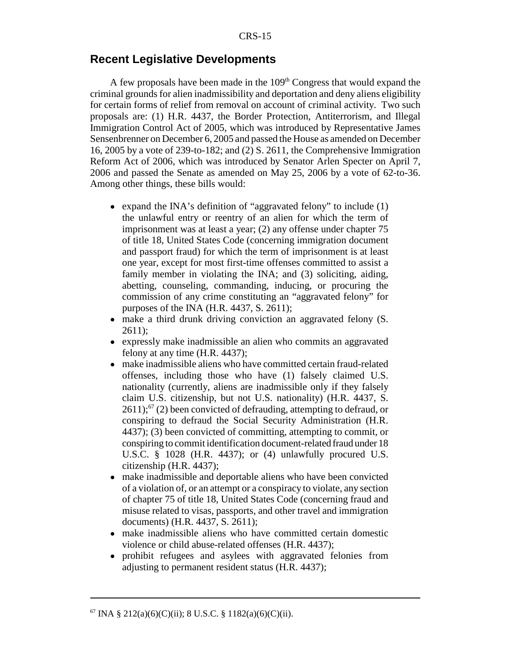#### **Recent Legislative Developments**

A few proposals have been made in the  $109<sup>th</sup>$  Congress that would expand the criminal grounds for alien inadmissibility and deportation and deny aliens eligibility for certain forms of relief from removal on account of criminal activity. Two such proposals are: (1) H.R. 4437, the Border Protection, Antiterrorism, and Illegal Immigration Control Act of 2005, which was introduced by Representative James Sensenbrenner on December 6, 2005 and passed the House as amended on December 16, 2005 by a vote of 239-to-182; and (2) S. 2611, the Comprehensive Immigration Reform Act of 2006, which was introduced by Senator Arlen Specter on April 7, 2006 and passed the Senate as amended on May 25, 2006 by a vote of 62-to-36. Among other things, these bills would:

- expand the INA's definition of "aggravated felony" to include (1) the unlawful entry or reentry of an alien for which the term of imprisonment was at least a year; (2) any offense under chapter 75 of title 18, United States Code (concerning immigration document and passport fraud) for which the term of imprisonment is at least one year, except for most first-time offenses committed to assist a family member in violating the INA; and (3) soliciting, aiding, abetting, counseling, commanding, inducing, or procuring the commission of any crime constituting an "aggravated felony" for purposes of the INA (H.R. 4437, S. 2611);
- make a third drunk driving conviction an aggravated felony (S. 2611);
- expressly make inadmissible an alien who commits an aggravated felony at any time (H.R. 4437);
- make inadmissible aliens who have committed certain fraud-related offenses, including those who have (1) falsely claimed U.S. nationality (currently, aliens are inadmissible only if they falsely claim U.S. citizenship, but not U.S. nationality) (H.R. 4437, S.  $2611$ ;<sup>67</sup> (2) been convicted of defrauding, attempting to defraud, or conspiring to defraud the Social Security Administration (H.R. 4437); (3) been convicted of committing, attempting to commit, or conspiring to commit identification document-related fraud under 18 U.S.C. § 1028 (H.R. 4437); or (4) unlawfully procured U.S. citizenship (H.R. 4437);
- ! make inadmissible and deportable aliens who have been convicted of a violation of, or an attempt or a conspiracy to violate, any section of chapter 75 of title 18, United States Code (concerning fraud and misuse related to visas, passports, and other travel and immigration documents) (H.R. 4437, S. 2611);
- make inadmissible aliens who have committed certain domestic violence or child abuse-related offenses (H.R. 4437);
- ! prohibit refugees and asylees with aggravated felonies from adjusting to permanent resident status (H.R. 4437);

 $^{67}$  INA § 212(a)(6)(C)(ii); 8 U.S.C. § 1182(a)(6)(C)(ii).